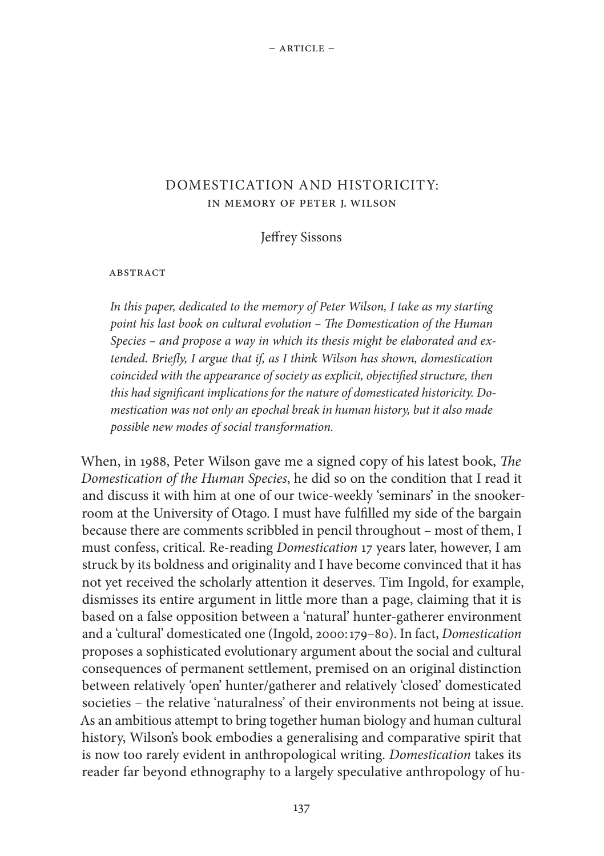# DOMESTICATION AND HISTORICITY: IN MEMORY OF PETER J. WILSON

Jeffrey Sissons

#### ABSTRACT

*In this paper, dedicated to the memory of Peter Wilson, I take as my starting point his last book on cultural evolution – The Domestication of the Human Species – and propose a way in which its thesis might be elaborated and extended. Briefly, I argue that if, as I think Wilson has shown, domestication coincided with the appearance of society as explicit, objectified structure, then this had significant implications for the nature of domesticated historicity. Domestication was not only an epochal break in human history, but it also made possible new modes of social transformation.*

When, in 1988, Peter Wilson gave me a signed copy of his latest book, *The Domestication of the Human Species*, he did so on the condition that I read it and discuss it with him at one of our twice-weekly 'seminars' in the snookerroom at the University of Otago. I must have fulfilled my side of the bargain because there are comments scribbled in pencil throughout – most of them, I must confess, critical. Re-reading *Domestication* 17 years later, however, I am struck by its boldness and originality and I have become convinced that it has not yet received the scholarly attention it deserves. Tim Ingold, for example, dismisses its entire argument in little more than a page, claiming that it is based on a false opposition between a 'natural' hunter-gatherer environment and a 'cultural' domesticated one (Ingold, 2000:179–80). In fact, *Domestication* proposes a sophisticated evolutionary argument about the social and cultural consequences of permanent settlement, premised on an original distinction between relatively 'open' hunter/gatherer and relatively 'closed' domesticated societies – the relative 'naturalness' of their environments not being at issue. As an ambitious attempt to bring together human biology and human cultural history, Wilson's book embodies a generalising and comparative spirit that is now too rarely evident in anthropological writing. *Domestication* takes its reader far beyond ethnography to a largely speculative anthropology of hu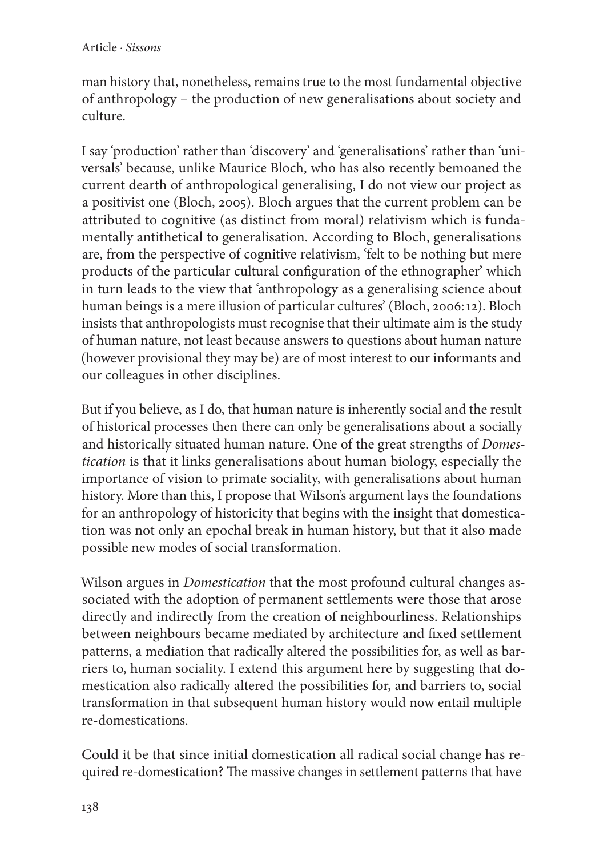man history that, nonetheless, remains true to the most fundamental objective of anthropology – the production of new generalisations about society and culture.

I say 'production' rather than 'discovery' and 'generalisations' rather than 'universals' because, unlike Maurice Bloch, who has also recently bemoaned the current dearth of anthropological generalising, I do not view our project as a positivist one (Bloch, 2005). Bloch argues that the current problem can be attributed to cognitive (as distinct from moral) relativism which is fundamentally antithetical to generalisation. According to Bloch, generalisations are, from the perspective of cognitive relativism, 'felt to be nothing but mere products of the particular cultural configuration of the ethnographer' which in turn leads to the view that 'anthropology as a generalising science about human beings is a mere illusion of particular cultures' (Bloch, 2006:12). Bloch insists that anthropologists must recognise that their ultimate aim is the study of human nature, not least because answers to questions about human nature (however provisional they may be) are of most interest to our informants and our colleagues in other disciplines.

But if you believe, as I do, that human nature is inherently social and the result of historical processes then there can only be generalisations about a socially and historically situated human nature. One of the great strengths of *Domestication* is that it links generalisations about human biology, especially the importance of vision to primate sociality, with generalisations about human history. More than this, I propose that Wilson's argument lays the foundations for an anthropology of historicity that begins with the insight that domestication was not only an epochal break in human history, but that it also made possible new modes of social transformation.

Wilson argues in *Domestication* that the most profound cultural changes associated with the adoption of permanent settlements were those that arose directly and indirectly from the creation of neighbourliness. Relationships between neighbours became mediated by architecture and fixed settlement patterns, a mediation that radically altered the possibilities for, as well as barriers to, human sociality. I extend this argument here by suggesting that domestication also radically altered the possibilities for, and barriers to, social transformation in that subsequent human history would now entail multiple re-domestications.

Could it be that since initial domestication all radical social change has required re-domestication? The massive changes in settlement patterns that have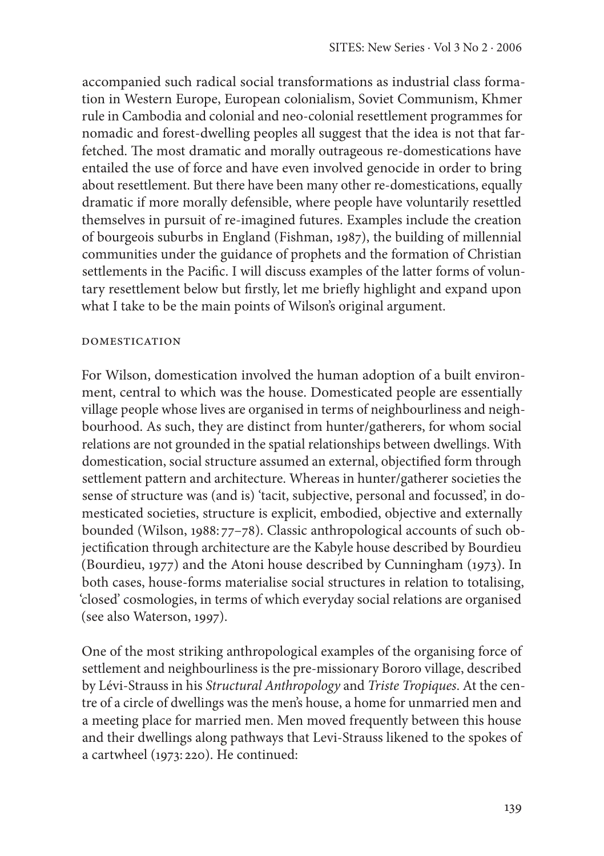accompanied such radical social transformations as industrial class formation in Western Europe, European colonialism, Soviet Communism, Khmer rule in Cambodia and colonial and neo-colonial resettlement programmes for nomadic and forest-dwelling peoples all suggest that the idea is not that farfetched. The most dramatic and morally outrageous re-domestications have entailed the use of force and have even involved genocide in order to bring about resettlement. But there have been many other re-domestications, equally dramatic if more morally defensible, where people have voluntarily resettled themselves in pursuit of re-imagined futures. Examples include the creation of bourgeois suburbs in England (Fishman, 1987), the building of millennial communities under the guidance of prophets and the formation of Christian settlements in the Pacific. I will discuss examples of the latter forms of voluntary resettlement below but firstly, let me briefly highlight and expand upon what I take to be the main points of Wilson's original argument.

### DOMESTICATION

For Wilson, domestication involved the human adoption of a built environment, central to which was the house. Domesticated people are essentially village people whose lives are organised in terms of neighbourliness and neighbourhood. As such, they are distinct from hunter/gatherers, for whom social relations are not grounded in the spatial relationships between dwellings. With domestication, social structure assumed an external, objectified form through settlement pattern and architecture. Whereas in hunter/gatherer societies the sense of structure was (and is) 'tacit, subjective, personal and focussed', in domesticated societies, structure is explicit, embodied, objective and externally bounded (Wilson, 1988: 77–78). Classic anthropological accounts of such objectification through architecture are the Kabyle house described by Bourdieu (Bourdieu, 1977) and the Atoni house described by Cunningham (1973). In both cases, house-forms materialise social structures in relation to totalising, 'closed' cosmologies, in terms of which everyday social relations are organised (see also Waterson, 1997).

One of the most striking anthropological examples of the organising force of settlement and neighbourliness is the pre-missionary Bororo village, described by Lévi-Strauss in his *Structural Anthropology* and *Triste Tropiques*. At the centre of a circle of dwellings was the men's house, a home for unmarried men and a meeting place for married men. Men moved frequently between this house and their dwellings along pathways that Levi-Strauss likened to the spokes of a cartwheel (1973: 220). He continued: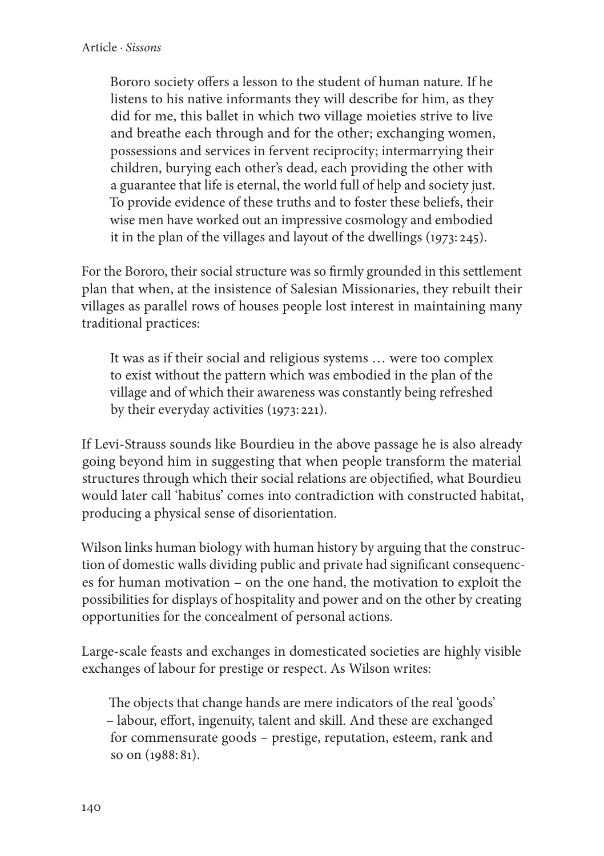Bororo society offers a lesson to the student of human nature. If he listens to his native informants they will describe for him, as they did for me, this ballet in which two village moieties strive to live and breathe each through and for the other; exchanging women, possessions and services in fervent reciprocity; intermarrying their children, burying each other's dead, each providing the other with a guarantee that life is eternal, the world full of help and society just. To provide evidence of these truths and to foster these beliefs, their wise men have worked out an impressive cosmology and embodied it in the plan of the villages and layout of the dwellings (1973: 245).

For the Bororo, their social structure was so firmly grounded in this settlement plan that when, at the insistence of Salesian Missionaries, they rebuilt their villages as parallel rows of houses people lost interest in maintaining many traditional practices:

It was as if their social and religious systems … were too complex to exist without the pattern which was embodied in the plan of the village and of which their awareness was constantly being refreshed by their everyday activities (1973: 221).

If Levi-Strauss sounds like Bourdieu in the above passage he is also already going beyond him in suggesting that when people transform the material structures through which their social relations are objectified, what Bourdieu would later call 'habitus' comes into contradiction with constructed habitat, producing a physical sense of disorientation.

Wilson links human biology with human history by arguing that the construction of domestic walls dividing public and private had significant consequences for human motivation – on the one hand, the motivation to exploit the possibilities for displays of hospitality and power and on the other by creating opportunities for the concealment of personal actions.

Large-scale feasts and exchanges in domesticated societies are highly visible exchanges of labour for prestige or respect. As Wilson writes:

The objects that change hands are mere indicators of the real 'goods' – labour, effort, ingenuity, talent and skill. And these are exchanged for commensurate goods – prestige, reputation, esteem, rank and so on (1988: 81).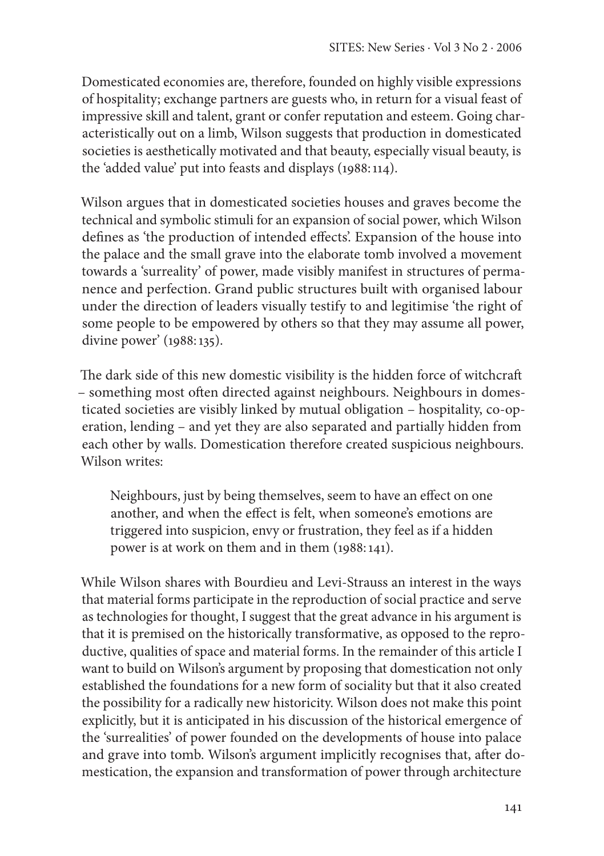Domesticated economies are, therefore, founded on highly visible expressions of hospitality; exchange partners are guests who, in return for a visual feast of impressive skill and talent, grant or confer reputation and esteem. Going characteristically out on a limb, Wilson suggests that production in domesticated societies is aesthetically motivated and that beauty, especially visual beauty, is the 'added value' put into feasts and displays (1988:114).

Wilson argues that in domesticated societies houses and graves become the technical and symbolic stimuli for an expansion of social power, which Wilson defines as 'the production of intended effects'. Expansion of the house into the palace and the small grave into the elaborate tomb involved a movement towards a 'surreality' of power, made visibly manifest in structures of permanence and perfection. Grand public structures built with organised labour under the direction of leaders visually testify to and legitimise 'the right of some people to be empowered by others so that they may assume all power, divine power' (1988:135).

The dark side of this new domestic visibility is the hidden force of witchcraft – something most often directed against neighbours. Neighbours in domesticated societies are visibly linked by mutual obligation – hospitality, co-operation, lending – and yet they are also separated and partially hidden from each other by walls. Domestication therefore created suspicious neighbours. Wilson writes:

Neighbours, just by being themselves, seem to have an effect on one another, and when the effect is felt, when someone's emotions are triggered into suspicion, envy or frustration, they feel as if a hidden power is at work on them and in them (1988:141).

While Wilson shares with Bourdieu and Levi-Strauss an interest in the ways that material forms participate in the reproduction of social practice and serve as technologies for thought, I suggest that the great advance in his argument is that it is premised on the historically transformative, as opposed to the reproductive, qualities of space and material forms. In the remainder of this article I want to build on Wilson's argument by proposing that domestication not only established the foundations for a new form of sociality but that it also created the possibility for a radically new historicity. Wilson does not make this point explicitly, but it is anticipated in his discussion of the historical emergence of the 'surrealities' of power founded on the developments of house into palace and grave into tomb. Wilson's argument implicitly recognises that, after domestication, the expansion and transformation of power through architecture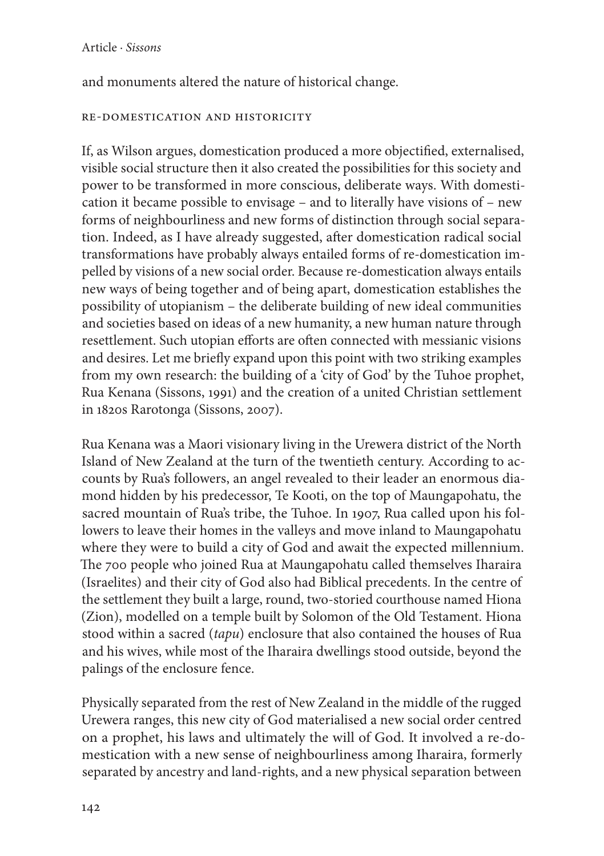and monuments altered the nature of historical change.

# RE-DOMESTICATION AND HISTORICITY

If, as Wilson argues, domestication produced a more objectified, externalised, visible social structure then it also created the possibilities for this society and power to be transformed in more conscious, deliberate ways. With domestication it became possible to envisage – and to literally have visions of – new forms of neighbourliness and new forms of distinction through social separation. Indeed, as I have already suggested, after domestication radical social transformations have probably always entailed forms of re-domestication impelled by visions of a new social order. Because re-domestication always entails new ways of being together and of being apart, domestication establishes the possibility of utopianism – the deliberate building of new ideal communities and societies based on ideas of a new humanity, a new human nature through resettlement. Such utopian efforts are often connected with messianic visions and desires. Let me briefly expand upon this point with two striking examples from my own research: the building of a 'city of God' by the Tuhoe prophet, Rua Kenana (Sissons, 1991) and the creation of a united Christian settlement in 1820s Rarotonga (Sissons, 2007).

Rua Kenana was a Maori visionary living in the Urewera district of the North Island of New Zealand at the turn of the twentieth century. According to accounts by Rua's followers, an angel revealed to their leader an enormous diamond hidden by his predecessor, Te Kooti, on the top of Maungapohatu, the sacred mountain of Rua's tribe, the Tuhoe. In 1907, Rua called upon his followers to leave their homes in the valleys and move inland to Maungapohatu where they were to build a city of God and await the expected millennium. The 700 people who joined Rua at Maungapohatu called themselves Iharaira (Israelites) and their city of God also had Biblical precedents. In the centre of the settlement they built a large, round, two-storied courthouse named Hiona (Zion), modelled on a temple built by Solomon of the Old Testament. Hiona stood within a sacred (*tapu*) enclosure that also contained the houses of Rua and his wives, while most of the Iharaira dwellings stood outside, beyond the palings of the enclosure fence.

Physically separated from the rest of New Zealand in the middle of the rugged Urewera ranges, this new city of God materialised a new social order centred on a prophet, his laws and ultimately the will of God. It involved a re-domestication with a new sense of neighbourliness among Iharaira, formerly separated by ancestry and land-rights, and a new physical separation between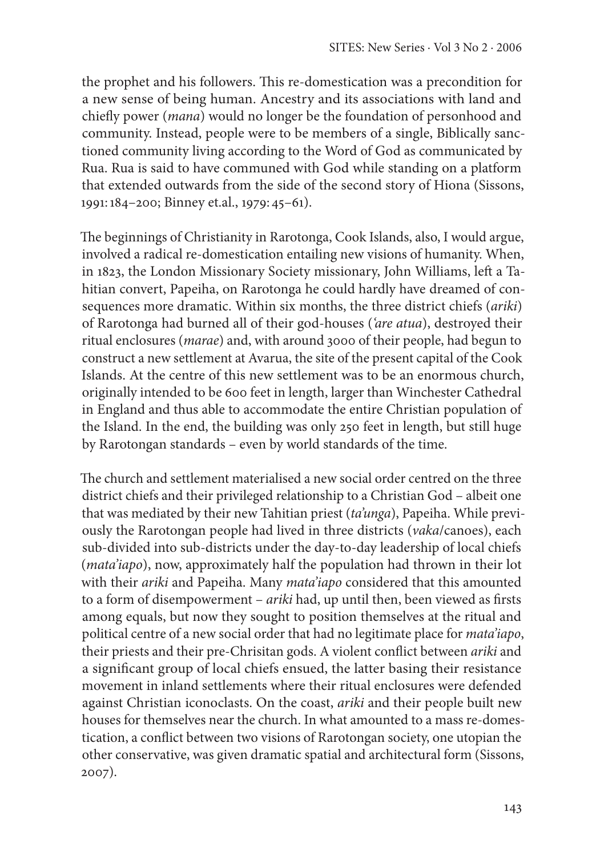the prophet and his followers. This re-domestication was a precondition for a new sense of being human. Ancestry and its associations with land and chiefly power (*mana*) would no longer be the foundation of personhood and community. Instead, people were to be members of a single, Biblically sanctioned community living according to the Word of God as communicated by Rua. Rua is said to have communed with God while standing on a platform that extended outwards from the side of the second story of Hiona (Sissons, 1991:184–200; Binney et.al., 1979: 45–61).

The beginnings of Christianity in Rarotonga, Cook Islands, also, I would argue, involved a radical re-domestication entailing new visions of humanity. When, in 1823, the London Missionary Society missionary, John Williams, left a Tahitian convert, Papeiha, on Rarotonga he could hardly have dreamed of consequences more dramatic. Within six months, the three district chiefs (*ariki*) of Rarotonga had burned all of their god-houses (*'are atua*), destroyed their ritual enclosures (*marae*) and, with around 3000 of their people, had begun to construct a new settlement at Avarua, the site of the present capital of the Cook Islands. At the centre of this new settlement was to be an enormous church, originally intended to be 600 feet in length, larger than Winchester Cathedral in England and thus able to accommodate the entire Christian population of the Island. In the end, the building was only 250 feet in length, but still huge by Rarotongan standards – even by world standards of the time.

The church and settlement materialised a new social order centred on the three district chiefs and their privileged relationship to a Christian God – albeit one that was mediated by their new Tahitian priest (*ta'unga*), Papeiha. While previously the Rarotongan people had lived in three districts (*vaka*/canoes), each sub-divided into sub-districts under the day-to-day leadership of local chiefs (*mata'iapo*), now, approximately half the population had thrown in their lot with their *ariki* and Papeiha. Many *mata'iapo* considered that this amounted to a form of disempowerment – *ariki* had, up until then, been viewed as firsts among equals, but now they sought to position themselves at the ritual and political centre of a new social order that had no legitimate place for *mata'iapo*, their priests and their pre-Chrisitan gods. A violent conflict between *ariki* and a significant group of local chiefs ensued, the latter basing their resistance movement in inland settlements where their ritual enclosures were defended against Christian iconoclasts. On the coast, *ariki* and their people built new houses for themselves near the church. In what amounted to a mass re-domestication, a conflict between two visions of Rarotongan society, one utopian the other conservative, was given dramatic spatial and architectural form (Sissons, 2007).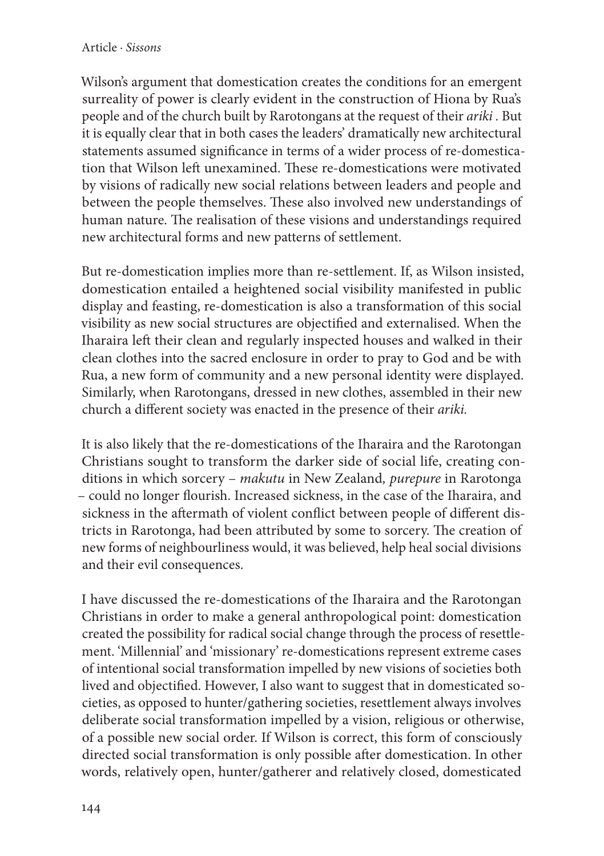## Article · *Sissons*

Wilson's argument that domestication creates the conditions for an emergent surreality of power is clearly evident in the construction of Hiona by Rua's people and of the church built by Rarotongans at the request of their *ariki .* But it is equally clear that in both cases the leaders' dramatically new architectural statements assumed significance in terms of a wider process of re-domestication that Wilson left unexamined. These re-domestications were motivated by visions of radically new social relations between leaders and people and between the people themselves. These also involved new understandings of human nature. The realisation of these visions and understandings required new architectural forms and new patterns of settlement.

But re-domestication implies more than re-settlement. If, as Wilson insisted, domestication entailed a heightened social visibility manifested in public display and feasting, re-domestication is also a transformation of this social visibility as new social structures are objectified and externalised. When the Iharaira left their clean and regularly inspected houses and walked in their clean clothes into the sacred enclosure in order to pray to God and be with Rua, a new form of community and a new personal identity were displayed. Similarly, when Rarotongans, dressed in new clothes, assembled in their new church a different society was enacted in the presence of their *ariki.*

It is also likely that the re-domestications of the Iharaira and the Rarotongan Christians sought to transform the darker side of social life, creating conditions in which sorcery – *makutu* in New Zealand*, purepure* in Rarotonga – could no longer flourish. Increased sickness, in the case of the Iharaira, and sickness in the aftermath of violent conflict between people of different districts in Rarotonga, had been attributed by some to sorcery. The creation of new forms of neighbourliness would, it was believed, help heal social divisions and their evil consequences.

I have discussed the re-domestications of the Iharaira and the Rarotongan Christians in order to make a general anthropological point: domestication created the possibility for radical social change through the process of resettlement. 'Millennial' and 'missionary' re-domestications represent extreme cases of intentional social transformation impelled by new visions of societies both lived and objectified. However, I also want to suggest that in domesticated societies, as opposed to hunter/gathering societies, resettlement always involves deliberate social transformation impelled by a vision, religious or otherwise, of a possible new social order. If Wilson is correct, this form of consciously directed social transformation is only possible after domestication. In other words, relatively open, hunter/gatherer and relatively closed, domesticated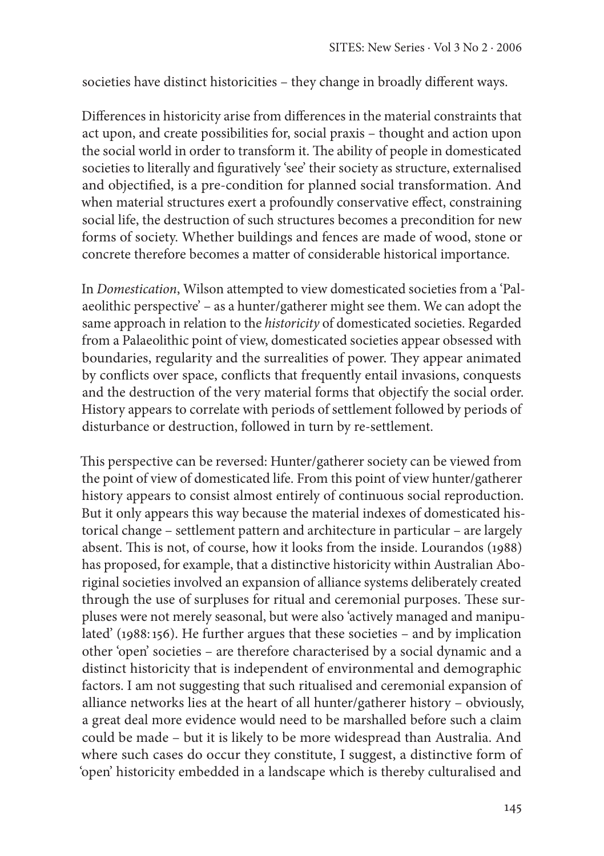societies have distinct historicities – they change in broadly different ways.

Differences in historicity arise from differences in the material constraints that act upon, and create possibilities for, social praxis – thought and action upon the social world in order to transform it. The ability of people in domesticated societies to literally and figuratively 'see' their society as structure, externalised and objectified, is a pre-condition for planned social transformation. And when material structures exert a profoundly conservative effect, constraining social life, the destruction of such structures becomes a precondition for new forms of society. Whether buildings and fences are made of wood, stone or concrete therefore becomes a matter of considerable historical importance.

In *Domestication*, Wilson attempted to view domesticated societies from a 'Palaeolithic perspective' – as a hunter/gatherer might see them. We can adopt the same approach in relation to the *historicity* of domesticated societies. Regarded from a Palaeolithic point of view, domesticated societies appear obsessed with boundaries, regularity and the surrealities of power. They appear animated by conflicts over space, conflicts that frequently entail invasions, conquests and the destruction of the very material forms that objectify the social order. History appears to correlate with periods of settlement followed by periods of disturbance or destruction, followed in turn by re-settlement.

This perspective can be reversed: Hunter/gatherer society can be viewed from the point of view of domesticated life. From this point of view hunter/gatherer history appears to consist almost entirely of continuous social reproduction. But it only appears this way because the material indexes of domesticated historical change – settlement pattern and architecture in particular – are largely absent. This is not, of course, how it looks from the inside. Lourandos (1988) has proposed, for example, that a distinctive historicity within Australian Aboriginal societies involved an expansion of alliance systems deliberately created through the use of surpluses for ritual and ceremonial purposes. These surpluses were not merely seasonal, but were also 'actively managed and manipulated' (1988:156). He further argues that these societies – and by implication other 'open' societies – are therefore characterised by a social dynamic and a distinct historicity that is independent of environmental and demographic factors. I am not suggesting that such ritualised and ceremonial expansion of alliance networks lies at the heart of all hunter/gatherer history – obviously, a great deal more evidence would need to be marshalled before such a claim could be made – but it is likely to be more widespread than Australia. And where such cases do occur they constitute, I suggest, a distinctive form of 'open' historicity embedded in a landscape which is thereby culturalised and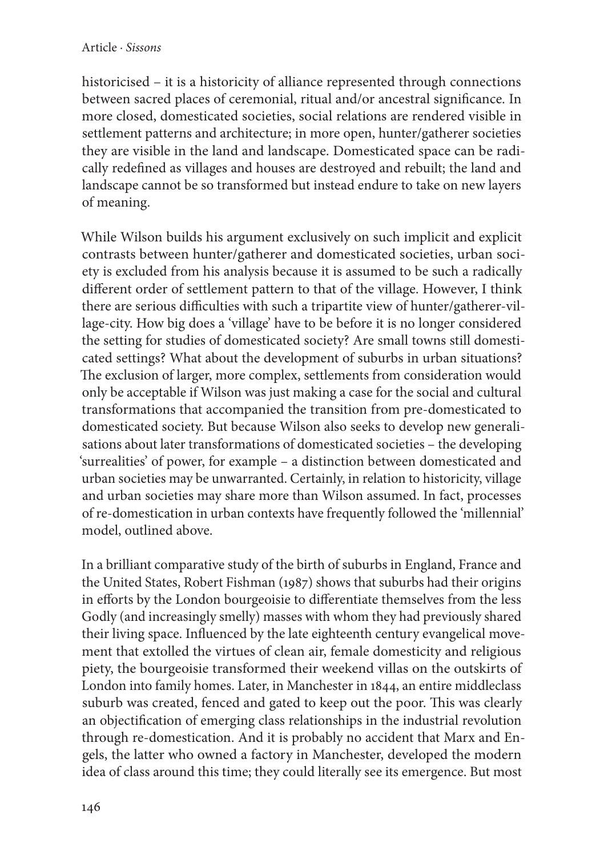historicised – it is a historicity of alliance represented through connections between sacred places of ceremonial, ritual and/or ancestral significance. In more closed, domesticated societies, social relations are rendered visible in settlement patterns and architecture; in more open, hunter/gatherer societies they are visible in the land and landscape. Domesticated space can be radically redefined as villages and houses are destroyed and rebuilt; the land and landscape cannot be so transformed but instead endure to take on new layers of meaning.

While Wilson builds his argument exclusively on such implicit and explicit contrasts between hunter/gatherer and domesticated societies, urban society is excluded from his analysis because it is assumed to be such a radically different order of settlement pattern to that of the village. However, I think there are serious difficulties with such a tripartite view of hunter/gatherer-village-city. How big does a 'village' have to be before it is no longer considered the setting for studies of domesticated society? Are small towns still domesticated settings? What about the development of suburbs in urban situations? The exclusion of larger, more complex, settlements from consideration would only be acceptable if Wilson was just making a case for the social and cultural transformations that accompanied the transition from pre-domesticated to domesticated society. But because Wilson also seeks to develop new generalisations about later transformations of domesticated societies – the developing 'surrealities' of power, for example – a distinction between domesticated and urban societies may be unwarranted. Certainly, in relation to historicity, village and urban societies may share more than Wilson assumed. In fact, processes of re-domestication in urban contexts have frequently followed the 'millennial' model, outlined above.

In a brilliant comparative study of the birth of suburbs in England, France and the United States, Robert Fishman (1987) shows that suburbs had their origins in efforts by the London bourgeoisie to differentiate themselves from the less Godly (and increasingly smelly) masses with whom they had previously shared their living space. Influenced by the late eighteenth century evangelical movement that extolled the virtues of clean air, female domesticity and religious piety, the bourgeoisie transformed their weekend villas on the outskirts of London into family homes. Later, in Manchester in 1844, an entire middleclass suburb was created, fenced and gated to keep out the poor. This was clearly an objectification of emerging class relationships in the industrial revolution through re-domestication. And it is probably no accident that Marx and Engels, the latter who owned a factory in Manchester, developed the modern idea of class around this time; they could literally see its emergence. But most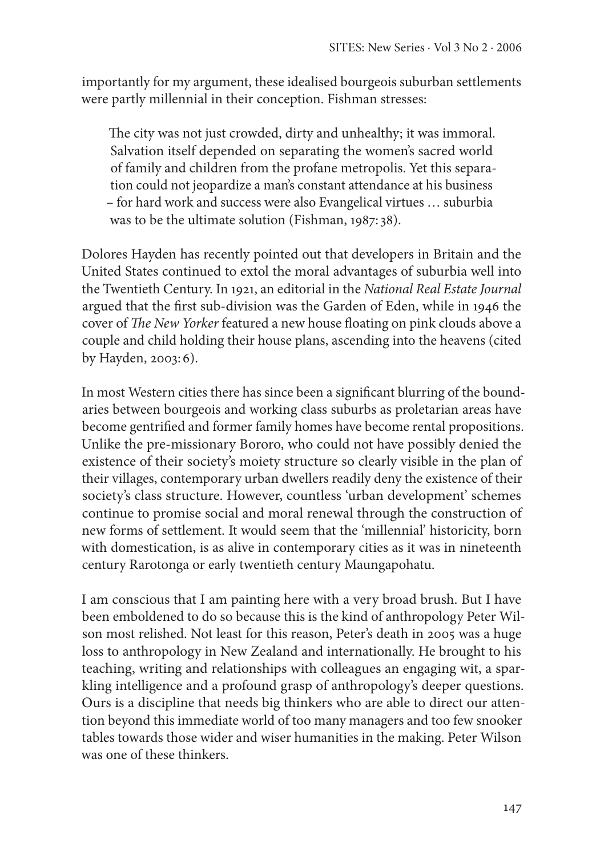importantly for my argument, these idealised bourgeois suburban settlements were partly millennial in their conception. Fishman stresses:

The city was not just crowded, dirty and unhealthy; it was immoral. Salvation itself depended on separating the women's sacred world of family and children from the profane metropolis. Yet this separation could not jeopardize a man's constant attendance at his business – for hard work and success were also Evangelical virtues … suburbia was to be the ultimate solution (Fishman, 1987: 38).

Dolores Hayden has recently pointed out that developers in Britain and the United States continued to extol the moral advantages of suburbia well into the Twentieth Century. In 1921, an editorial in the *National Real Estate Journal* argued that the first sub-division was the Garden of Eden, while in 1946 the cover of *The New Yorker* featured a new house floating on pink clouds above a couple and child holding their house plans, ascending into the heavens (cited by Hayden, 2003: 6).

In most Western cities there has since been a significant blurring of the boundaries between bourgeois and working class suburbs as proletarian areas have become gentrified and former family homes have become rental propositions. Unlike the pre-missionary Bororo, who could not have possibly denied the existence of their society's moiety structure so clearly visible in the plan of their villages, contemporary urban dwellers readily deny the existence of their society's class structure. However, countless 'urban development' schemes continue to promise social and moral renewal through the construction of new forms of settlement. It would seem that the 'millennial' historicity, born with domestication, is as alive in contemporary cities as it was in nineteenth century Rarotonga or early twentieth century Maungapohatu.

I am conscious that I am painting here with a very broad brush. But I have been emboldened to do so because this is the kind of anthropology Peter Wilson most relished. Not least for this reason, Peter's death in 2005 was a huge loss to anthropology in New Zealand and internationally. He brought to his teaching, writing and relationships with colleagues an engaging wit, a sparkling intelligence and a profound grasp of anthropology's deeper questions. Ours is a discipline that needs big thinkers who are able to direct our attention beyond this immediate world of too many managers and too few snooker tables towards those wider and wiser humanities in the making. Peter Wilson was one of these thinkers.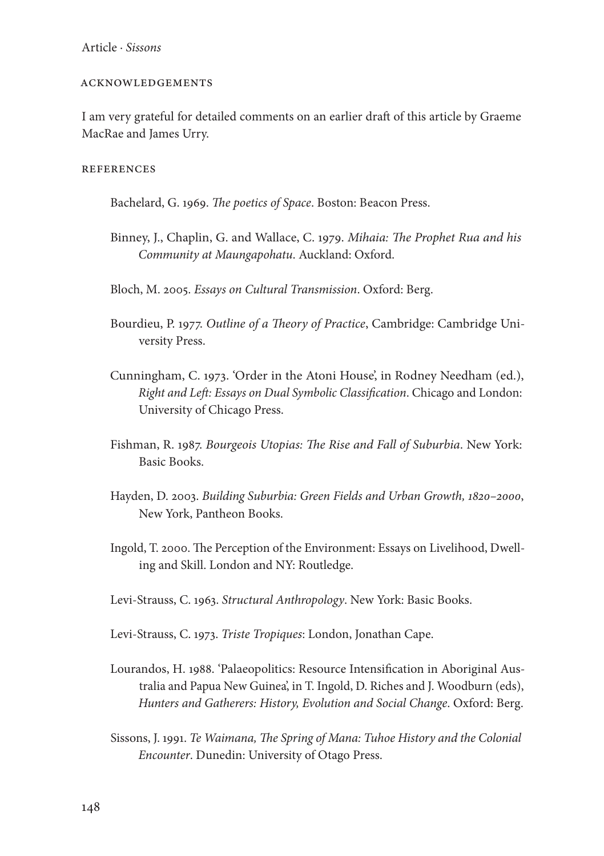### ACKNOWLEDGEMENTS

I am very grateful for detailed comments on an earlier draft of this article by Graeme MacRae and James Urry.

**REFERENCES** 

Bachelard, G. 1969. *The poetics of Space*. Boston: Beacon Press.

Binney, J., Chaplin, G. and Wallace, C. 1979. *Mihaia: The Prophet Rua and his Community at Maungapohatu*. Auckland: Oxford.

Bloch, M. 2005. *Essays on Cultural Transmission*. Oxford: Berg.

- Bourdieu, P. 1977. *Outline of a Theory of Practice*, Cambridge: Cambridge University Press.
- Cunningham, C. 1973. 'Order in the Atoni House', in Rodney Needham (ed.), *Right and Left: Essays on Dual Symbolic Classification*. Chicago and London: University of Chicago Press.
- Fishman, R. 1987. *Bourgeois Utopias: The Rise and Fall of Suburbia*. New York: Basic Books.
- Hayden, D. 2003. *Building Suburbia: Green Fields and Urban Growth, 1820–2000*, New York, Pantheon Books.
- Ingold, T. 2000. The Perception of the Environment: Essays on Livelihood, Dwelling and Skill. London and NY: Routledge.
- Levi-Strauss, C. 1963. *Structural Anthropology*. New York: Basic Books.

Levi-Strauss, C. 1973. *Triste Tropiques*: London, Jonathan Cape.

- Lourandos, H. 1988. 'Palaeopolitics: Resource Intensification in Aboriginal Australia and Papua New Guinea', in T. Ingold, D. Riches and J. Woodburn (eds), *Hunters and Gatherers: History, Evolution and Social Change*. Oxford: Berg.
- Sissons, J. 1991. *Te Waimana, The Spring of Mana: Tuhoe History and the Colonial Encounter*. Dunedin: University of Otago Press.